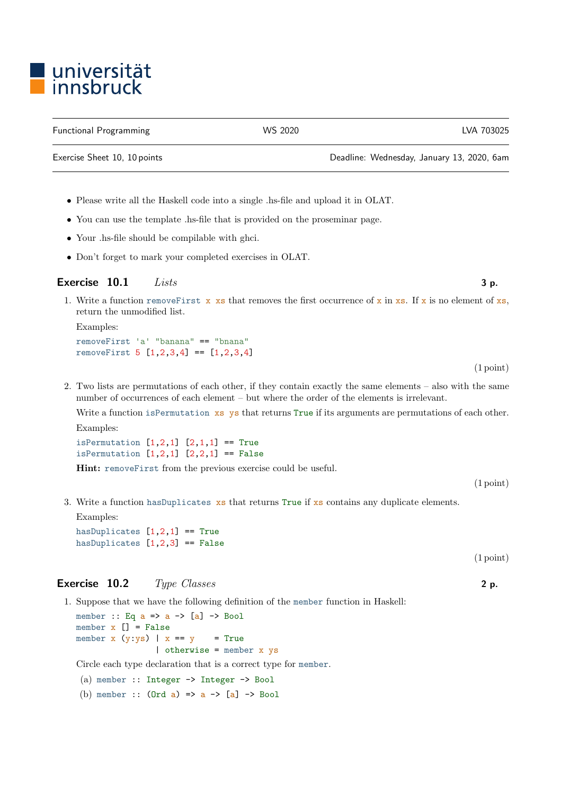## ■ universität<br>■ innsbruck

Functional Programming The Control Control of the WS 2020 CMS 2020 CVA 703025

Exercise Sheet 10, 10 points Deadline: Wednesday, January 13, 2020, 6am

- Please write all the Haskell code into a single .hs-file and upload it in OLAT.
- You can use the template .hs-file that is provided on the proseminar page.
- Your .hs-file should be compilable with ghci.
- Don't forget to mark your completed exercises in OLAT.

## Exercise  $10.1$  Lists 3 p.

1. Write a function removeFirst x xs that removes the first occurrence of x in xs. If x is no element of xs, return the unmodified list.

Examples: removeFirst 'a' "banana" == "bnana" removeFirst 5 [1,2,3,4] == [1,2,3,4]

(1 point)

2. Two lists are permutations of each other, if they contain exactly the same elements – also with the same number of occurrences of each element – but where the order of the elements is irrelevant.

Write a function is Permutation xs ys that returns True if its arguments are permutations of each other. Examples:

isPermutation  $[1,2,1]$   $[2,1,1]$  == True isPermutation  $[1,2,1]$   $[2,2,1]$  == False

Hint: removeFirst from the previous exercise could be useful.

(1 point)

3. Write a function hasDuplicates xs that returns True if xs contains any duplicate elements.

Examples:

hasDuplicates  $[1,2,1]$  == True hasDuplicates  $[1,2,3]$  == False

## Exercise 10.2 Type Classes 2 p.

1. Suppose that we have the following definition of the member function in Haskell:

member :: Eq  $a \Rightarrow a \Rightarrow [a] \Rightarrow$  Bool member  $x \mid \cdot \cdot \mid$  = False member  $x(y:ys)$  |  $x == y$  = True | otherwise = member x ys

Circle each type declaration that is a correct type for member.

(a) member :: Integer -> Integer -> Bool

(b) member ::  $(Ord a) \Rightarrow a \Rightarrow [a] \Rightarrow Bool$ 

(1 point)